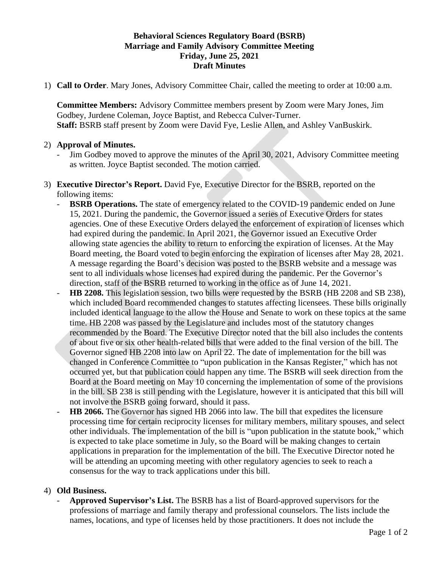## **Behavioral Sciences Regulatory Board (BSRB) Marriage and Family Advisory Committee Meeting Friday, June 25, 2021 Draft Minutes**

1) **Call to Order**. Mary Jones, Advisory Committee Chair, called the meeting to order at 10:00 a.m.

**Committee Members:** Advisory Committee members present by Zoom were Mary Jones, Jim Godbey, Jurdene Coleman, Joyce Baptist, and Rebecca Culver-Turner. **Staff:** BSRB staff present by Zoom were David Fye, Leslie Allen, and Ashley VanBuskirk.

## 2) **Approval of Minutes.**

- Jim Godbey moved to approve the minutes of the April 30, 2021, Advisory Committee meeting as written. Joyce Baptist seconded. The motion carried.
- 3) **Executive Director's Report.** David Fye, Executive Director for the BSRB, reported on the following items:
	- **BSRB Operations.** The state of emergency related to the COVID-19 pandemic ended on June 15, 2021. During the pandemic, the Governor issued a series of Executive Orders for states agencies. One of these Executive Orders delayed the enforcement of expiration of licenses which had expired during the pandemic. In April 2021, the Governor issued an Executive Order allowing state agencies the ability to return to enforcing the expiration of licenses. At the May Board meeting, the Board voted to begin enforcing the expiration of licenses after May 28, 2021. A message regarding the Board's decision was posted to the BSRB website and a message was sent to all individuals whose licenses had expired during the pandemic. Per the Governor's direction, staff of the BSRB returned to working in the office as of June 14, 2021.
	- **HB 2208.** This legislation session, two bills were requested by the BSRB (HB 2208 and SB 238), which included Board recommended changes to statutes affecting licensees. These bills originally included identical language to the allow the House and Senate to work on these topics at the same time. HB 2208 was passed by the Legislature and includes most of the statutory changes recommended by the Board. The Executive Director noted that the bill also includes the contents of about five or six other health-related bills that were added to the final version of the bill. The Governor signed HB 2208 into law on April 22. The date of implementation for the bill was changed in Conference Committee to "upon publication in the Kansas Register," which has not occurred yet, but that publication could happen any time. The BSRB will seek direction from the Board at the Board meeting on May 10 concerning the implementation of some of the provisions in the bill. SB 238 is still pending with the Legislature, however it is anticipated that this bill will not involve the BSRB going forward, should it pass.
	- **HB 2066.** The Governor has signed HB 2066 into law. The bill that expedites the licensure processing time for certain reciprocity licenses for military members, military spouses, and select other individuals. The implementation of the bill is "upon publication in the statute book," which is expected to take place sometime in July, so the Board will be making changes to certain applications in preparation for the implementation of the bill. The Executive Director noted he will be attending an upcoming meeting with other regulatory agencies to seek to reach a consensus for the way to track applications under this bill.

#### 4) **Old Business.**

- **Approved Supervisor's List.** The BSRB has a list of Board-approved supervisors for the professions of marriage and family therapy and professional counselors. The lists include the names, locations, and type of licenses held by those practitioners. It does not include the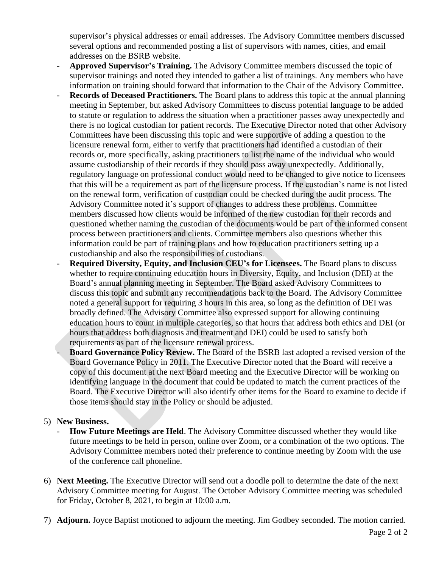supervisor's physical addresses or email addresses. The Advisory Committee members discussed several options and recommended posting a list of supervisors with names, cities, and email addresses on the BSRB website.

- **Approved Supervisor's Training.** The Advisory Committee members discussed the topic of supervisor trainings and noted they intended to gather a list of trainings. Any members who have information on training should forward that information to the Chair of the Advisory Committee.
- **Records of Deceased Practitioners.** The Board plans to address this topic at the annual planning meeting in September, but asked Advisory Committees to discuss potential language to be added to statute or regulation to address the situation when a practitioner passes away unexpectedly and there is no logical custodian for patient records. The Executive Director noted that other Advisory Committees have been discussing this topic and were supportive of adding a question to the licensure renewal form, either to verify that practitioners had identified a custodian of their records or, more specifically, asking practitioners to list the name of the individual who would assume custodianship of their records if they should pass away unexpectedly. Additionally, regulatory language on professional conduct would need to be changed to give notice to licensees that this will be a requirement as part of the licensure process. If the custodian's name is not listed on the renewal form, verification of custodian could be checked during the audit process. The Advisory Committee noted it's support of changes to address these problems. Committee members discussed how clients would be informed of the new custodian for their records and questioned whether naming the custodian of the documents would be part of the informed consent process between practitioners and clients. Committee members also questions whether this information could be part of training plans and how to education practitioners setting up a custodianship and also the responsibilities of custodians.
- **Required Diversity, Equity, and Inclusion CEU's for Licensees.** The Board plans to discuss whether to require continuing education hours in Diversity, Equity, and Inclusion (DEI) at the Board's annual planning meeting in September. The Board asked Advisory Committees to discuss this topic and submit any recommendations back to the Board. The Advisory Committee noted a general support for requiring 3 hours in this area, so long as the definition of DEI was broadly defined. The Advisory Committee also expressed support for allowing continuing education hours to count in multiple categories, so that hours that address both ethics and DEI (or hours that address both diagnosis and treatment and DEI) could be used to satisfy both requirements as part of the licensure renewal process.
	- **Board Governance Policy Review.** The Board of the BSRB last adopted a revised version of the Board Governance Policy in 2011. The Executive Director noted that the Board will receive a copy of this document at the next Board meeting and the Executive Director will be working on identifying language in the document that could be updated to match the current practices of the Board. The Executive Director will also identify other items for the Board to examine to decide if those items should stay in the Policy or should be adjusted.

#### 5) **New Business.**

- How Future Meetings are Held. The Advisory Committee discussed whether they would like future meetings to be held in person, online over Zoom, or a combination of the two options. The Advisory Committee members noted their preference to continue meeting by Zoom with the use of the conference call phoneline.
- 6) **Next Meeting.** The Executive Director will send out a doodle poll to determine the date of the next Advisory Committee meeting for August. The October Advisory Committee meeting was scheduled for Friday, October 8, 2021, to begin at 10:00 a.m.
- 7) **Adjourn.** Joyce Baptist motioned to adjourn the meeting. Jim Godbey seconded. The motion carried.